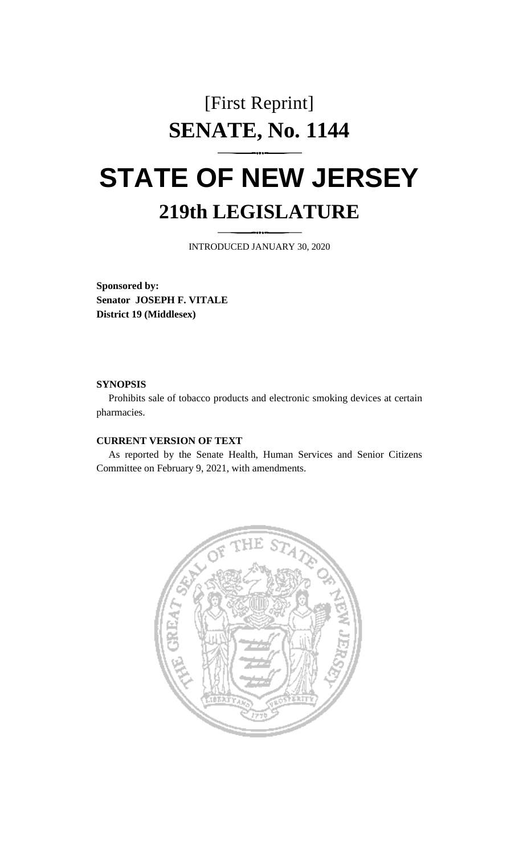## [First Reprint] **SENATE, No. 1144**

## **STATE OF NEW JERSEY 219th LEGISLATURE**

INTRODUCED JANUARY 30, 2020

**Sponsored by: Senator JOSEPH F. VITALE District 19 (Middlesex)**

## **SYNOPSIS**

Prohibits sale of tobacco products and electronic smoking devices at certain pharmacies.

## **CURRENT VERSION OF TEXT**

As reported by the Senate Health, Human Services and Senior Citizens Committee on February 9, 2021, with amendments.

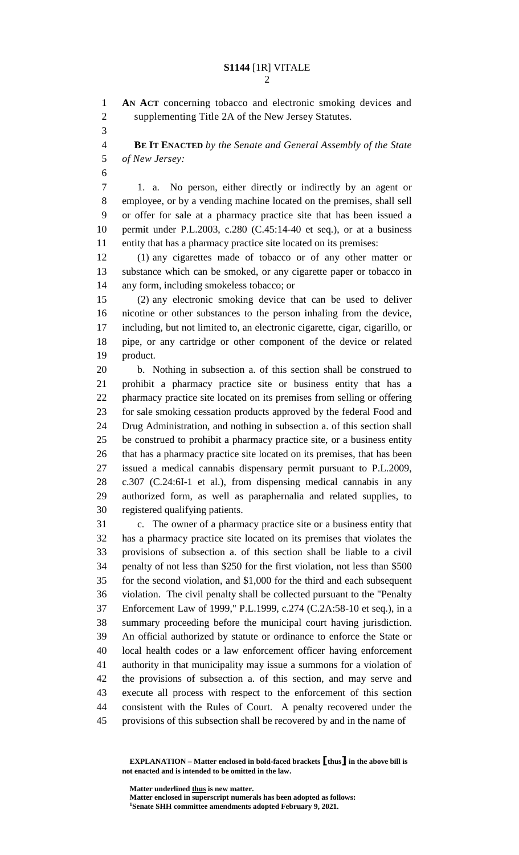**AN ACT** concerning tobacco and electronic smoking devices and supplementing Title 2A of the New Jersey Statutes.

 **BE IT ENACTED** *by the Senate and General Assembly of the State of New Jersey:*

 1. a. No person, either directly or indirectly by an agent or employee, or by a vending machine located on the premises, shall sell or offer for sale at a pharmacy practice site that has been issued a permit under P.L.2003, c.280 (C.45:14-40 et seq.), or at a business entity that has a pharmacy practice site located on its premises:

 (1) any cigarettes made of tobacco or of any other matter or substance which can be smoked, or any cigarette paper or tobacco in any form, including smokeless tobacco; or

 (2) any electronic smoking device that can be used to deliver nicotine or other substances to the person inhaling from the device, including, but not limited to, an electronic cigarette, cigar, cigarillo, or pipe, or any cartridge or other component of the device or related product.

 b. Nothing in subsection a. of this section shall be construed to prohibit a pharmacy practice site or business entity that has a pharmacy practice site located on its premises from selling or offering for sale smoking cessation products approved by the federal Food and Drug Administration, and nothing in subsection a. of this section shall be construed to prohibit a pharmacy practice site, or a business entity that has a pharmacy practice site located on its premises, that has been issued a medical cannabis dispensary permit pursuant to P.L.2009, c.307 (C.24:6I-1 et al.), from dispensing medical cannabis in any authorized form, as well as paraphernalia and related supplies, to registered qualifying patients.

 c. The owner of a pharmacy practice site or a business entity that has a pharmacy practice site located on its premises that violates the provisions of subsection a. of this section shall be liable to a civil penalty of not less than \$250 for the first violation, not less than \$500 for the second violation, and \$1,000 for the third and each subsequent violation. The civil penalty shall be collected pursuant to the "Penalty Enforcement Law of 1999," P.L.1999, c.274 (C.2A:58-10 et seq.), in a summary proceeding before the municipal court having jurisdiction. An official authorized by statute or ordinance to enforce the State or local health codes or a law enforcement officer having enforcement authority in that municipality may issue a summons for a violation of the provisions of subsection a. of this section, and may serve and execute all process with respect to the enforcement of this section consistent with the Rules of Court. A penalty recovered under the provisions of this subsection shall be recovered by and in the name of

**EXPLANATION – Matter enclosed in bold-faced brackets [thus] in the above bill is not enacted and is intended to be omitted in the law.**

**Matter underlined thus is new matter.**

**Matter enclosed in superscript numerals has been adopted as follows: Senate SHH committee amendments adopted February 9, 2021.**